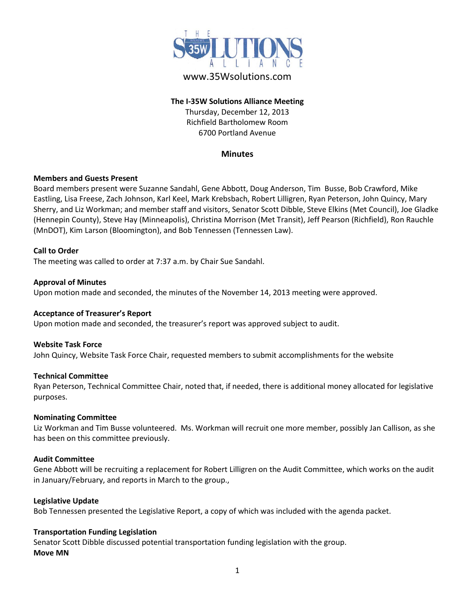

# www.35Wsolutions.com

# **The I-35W Solutions Alliance Meeting**

Thursday, December 12, 2013 Richfield Bartholomew Room 6700 Portland Avenue

## **Minutes**

#### **Members and Guests Present**

Board members present were Suzanne Sandahl, Gene Abbott, Doug Anderson, Tim Busse, Bob Crawford, Mike Eastling, Lisa Freese, Zach Johnson, Karl Keel, Mark Krebsbach, Robert Lilligren, Ryan Peterson, John Quincy, Mary Sherry, and Liz Workman; and member staff and visitors, Senator Scott Dibble, Steve Elkins (Met Council), Joe Gladke (Hennepin County), Steve Hay (Minneapolis), Christina Morrison (Met Transit), Jeff Pearson (Richfield), Ron Rauchle (MnDOT), Kim Larson (Bloomington), and Bob Tennessen (Tennessen Law).

#### **Call to Order**

The meeting was called to order at 7:37 a.m. by Chair Sue Sandahl.

#### **Approval of Minutes**

Upon motion made and seconded, the minutes of the November 14, 2013 meeting were approved.

#### **Acceptance of Treasurer's Report**

Upon motion made and seconded, the treasurer's report was approved subject to audit.

#### **Website Task Force**

John Quincy, Website Task Force Chair, requested members to submit accomplishments for the website

## **Technical Committee**

Ryan Peterson, Technical Committee Chair, noted that, if needed, there is additional money allocated for legislative purposes.

#### **Nominating Committee**

Liz Workman and Tim Busse volunteered. Ms. Workman will recruit one more member, possibly Jan Callison, as she has been on this committee previously.

#### **Audit Committee**

Gene Abbott will be recruiting a replacement for Robert Lilligren on the Audit Committee, which works on the audit in January/February, and reports in March to the group.,

#### **Legislative Update**

Bob Tennessen presented the Legislative Report, a copy of which was included with the agenda packet.

## **Transportation Funding Legislation**

Senator Scott Dibble discussed potential transportation funding legislation with the group. **Move MN**